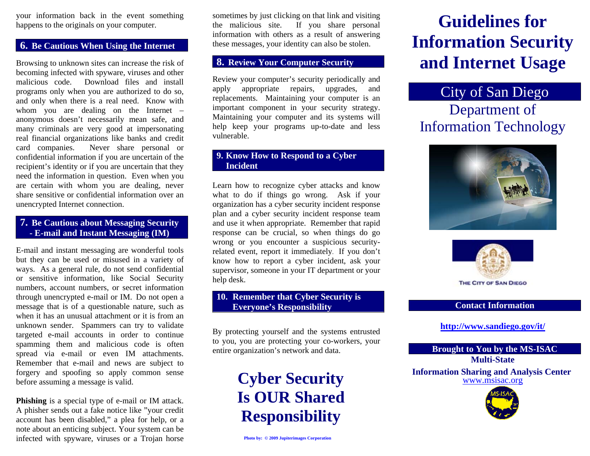your information back in the event something happens to the originals on your computer.

#### **6. Be Cautious When Using the Internet**

Browsing to unknown sites can increase the risk of becoming infected with spyware, viruses and other malicious code. Download files and install programs only when you are authorized to do so, and only when there is a real need. Know with whom you are dealing on the Internet – anonymous doesn't necessarily mean safe, and many criminals are very good at impersonating real financial organizations like banks and credit card companies. Never share personal or confidential information if you are uncertain of the recipient's identity or if you are uncertain that they need the information in question. Even when you are certain with whom you are dealing, never share sensitive or confidential information over an unencrypted Internet connection.

#### **7. Be Cautious about Messaging Security - E-mail and Instant Messaging (IM)**

E-mail and instant messaging are wonderful tools but they can be used or misused in a variety of ways. As a general rule, do not send confidential or sensitive information, like Social Security numbers, account numbers, or secret information through unencrypted e-mail or IM. Do not open a message that is of a questionable nature, such as when it has an unusual attachment or it is from an unknown sender. Spammers can try to validate targeted e-mail accounts in order to continue spamming them and malicious code is often spread via e-mail or even IM attachments. Remember that e-mail and news are subject to forgery and spoofing so apply common sense before assuming a message is valid.

**Phishing** is a special type of e-mail or IM attack. A phisher sends out a fake notice like "your credit account has been disabled," a plea for help, or a note about an enticing subject. Your system can be infected with spyware, viruses or a Trojan horse

sometimes by just clicking on that link and visiting the malicious site. If you share personal information with others as a result of answering these messages, your identity can also be stolen.

#### **8. Review Your Computer Security**

Review your computer's security periodically and apply appropriate repairs, upgrades, and replacements. Maintaining your computer is an important component in your security strategy. Maintaining your computer and its systems will help keep your programs up-to-date and less vulnerable.

#### **9. Know How to Respond to a Cyber Incident**

Learn how to recognize cyber attacks and know what to do if things go wrong. Ask if your organization has a cyber security incident response plan and a cyber security incident response team and use it when appropriate. Remember that rapid response can be crucial, so when things do go wrong or you encounter a suspicious securityrelated event, report it immediately. If you don't know how to report a cyber incident, ask your supervisor, someone in your IT department or your help desk.

#### **10. Remember that Cyber Security is Everyone's Responsibility**

By protecting yourself and the systems entrusted to you, you are protecting your co-workers, your entire organization's network and data.

> **Cyber Security Is OUR Shared Responsibility**

# **Guidelines for Information Security and Internet Usage**

### City of San Diego

## Department of Information Technology





#### **Contact Information**

#### **http://www.sandiego.gov/it/**

#### **Brought to You by the MS-ISAC Multi-State Information Sharing and Analysis Center**

www.msisac.org